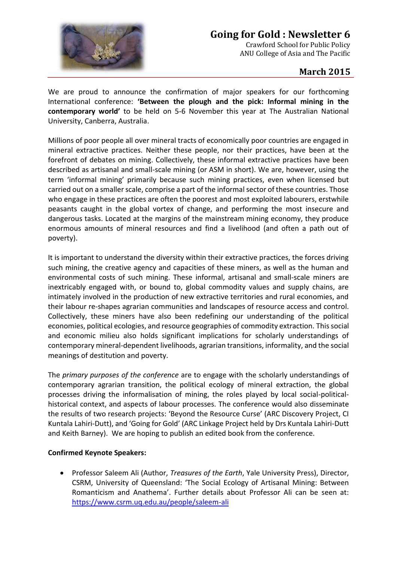

# **Going for Gold : Newsletter 6**

Crawford School for Public Policy ANU College of Asia and The Pacific

## **March 2015**

We are proud to announce the confirmation of major speakers for our forthcoming International conference: **'Between the plough and the pick: Informal mining in the contemporary world'** to be held on 5-6 November this year at The Australian National University, Canberra, Australia.

Millions of poor people all over mineral tracts of economically poor countries are engaged in mineral extractive practices. Neither these people, nor their practices, have been at the forefront of debates on mining. Collectively, these informal extractive practices have been described as artisanal and small-scale mining (or ASM in short). We are, however, using the term 'informal mining' primarily because such mining practices, even when licensed but carried out on a smaller scale, comprise a part of the informal sector of these countries. Those who engage in these practices are often the poorest and most exploited labourers, erstwhile peasants caught in the global vortex of change, and performing the most insecure and dangerous tasks. Located at the margins of the mainstream mining economy, they produce enormous amounts of mineral resources and find a livelihood (and often a path out of poverty).

It is important to understand the diversity within their extractive practices, the forces driving such mining, the creative agency and capacities of these miners, as well as the human and environmental costs of such mining. These informal, artisanal and small-scale miners are inextricably engaged with, or bound to, global commodity values and supply chains, are intimately involved in the production of new extractive territories and rural economies, and their labour re-shapes agrarian communities and landscapes of resource access and control. Collectively, these miners have also been redefining our understanding of the political economies, political ecologies, and resource geographies of commodity extraction. This social and economic milieu also holds significant implications for scholarly understandings of contemporary mineral-dependent livelihoods, agrarian transitions, informality, and the social meanings of destitution and poverty.

The *primary purposes of the conference* are to engage with the scholarly understandings of contemporary agrarian transition, the political ecology of mineral extraction, the global processes driving the informalisation of mining, the roles played by local social-politicalhistorical context, and aspects of labour processes. The conference would also disseminate the results of two research projects: 'Beyond the Resource Curse' (ARC Discovery Project, CI Kuntala Lahiri-Dutt), and 'Going for Gold' (ARC Linkage Project held by Drs Kuntala Lahiri-Dutt and Keith Barney). We are hoping to publish an edited book from the conference.

#### **Confirmed Keynote Speakers:**

 Professor Saleem Ali (Author, *Treasures of the Earth*, Yale University Press), Director, CSRM, University of Queensland: 'The Social Ecology of Artisanal Mining: Between Romanticism and Anathema'. Further details about Professor Ali can be seen at: <https://www.csrm.uq.edu.au/people/saleem-ali>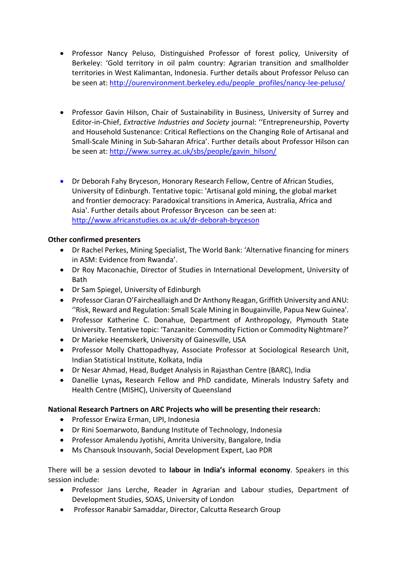- Professor Nancy Peluso, Distinguished Professor of forest policy, University of Berkeley: 'Gold territory in oil palm country: Agrarian transition and smallholder territories in West Kalimantan, Indonesia. Further details about Professor Peluso can be seen at: [http://ourenvironment.berkeley.edu/people\\_profiles/nancy-lee-peluso/](http://ourenvironment.berkeley.edu/people_profiles/nancy-lee-peluso/)
- Professor Gavin Hilson, Chair of Sustainability in Business, University of Surrey and Editor-in-Chief, *Extractive Industries and Society* journal: ''Entrepreneurship, Poverty and Household Sustenance: Critical Reflections on the Changing Role of Artisanal and Small-Scale Mining in Sub-Saharan Africa'. Further details about Professor Hilson can be seen at: [http://www.surrey.ac.uk/sbs/people/gavin\\_hilson/](http://www.surrey.ac.uk/sbs/people/gavin_hilson/)
- Dr Deborah Fahy Bryceson, Honorary Research Fellow, Centre of African Studies, University of Edinburgh. Tentative topic: 'Artisanal gold mining, the global market and frontier democracy: Paradoxical transitions in America, Australia, Africa and Asia'. Further details about Professor Bryceson can be seen at: <http://www.africanstudies.ox.ac.uk/dr-deborah-bryceson>

### **Other confirmed presenters**

- Dr Rachel Perkes, Mining Specialist, The World Bank: 'Alternative financing for miners in ASM: Evidence from Rwanda'.
- Dr Roy Maconachie, Director of Studies in International Development, University of Bath
- Dr Sam Spiegel, University of Edinburgh
- Professor Ciaran O'Faircheallaigh and Dr Anthony Reagan, Griffith University and ANU: ''Risk, Reward and Regulation: Small Scale Mining in Bougainville, Papua New Guinea'.
- Professor Katherine C. Donahue, Department of Anthropology, Plymouth State University. Tentative topic: 'Tanzanite: Commodity Fiction or Commodity Nightmare?'
- Dr Marieke Heemskerk, University of Gainesville, USA
- Professor Molly Chattopadhyay, Associate Professor at Sociological Research Unit, Indian Statistical Institute, Kolkata, India
- Dr Nesar Ahmad, Head, Budget Analysis in Rajasthan Centre (BARC), India
- Danellie Lynas**,** Research Fellow and PhD candidate, Minerals Industry Safety and Health Centre (MISHC), University of Queensland

#### **National Research Partners on ARC Projects who will be presenting their research:**

- Professor Erwiza Erman, LIPI, Indonesia
- Dr Rini Soemarwoto, Bandung Institute of Technology, Indonesia
- Professor Amalendu Jyotishi, Amrita University, Bangalore, India
- Ms Chansouk Insouvanh, Social Development Expert, Lao PDR

There will be a session devoted to **labour in India's informal economy**. Speakers in this session include:

- Professor Jans Lerche, Reader in Agrarian and Labour studies, Department of Development Studies, SOAS, University of London
- Professor Ranabir Samaddar, Director, Calcutta Research Group